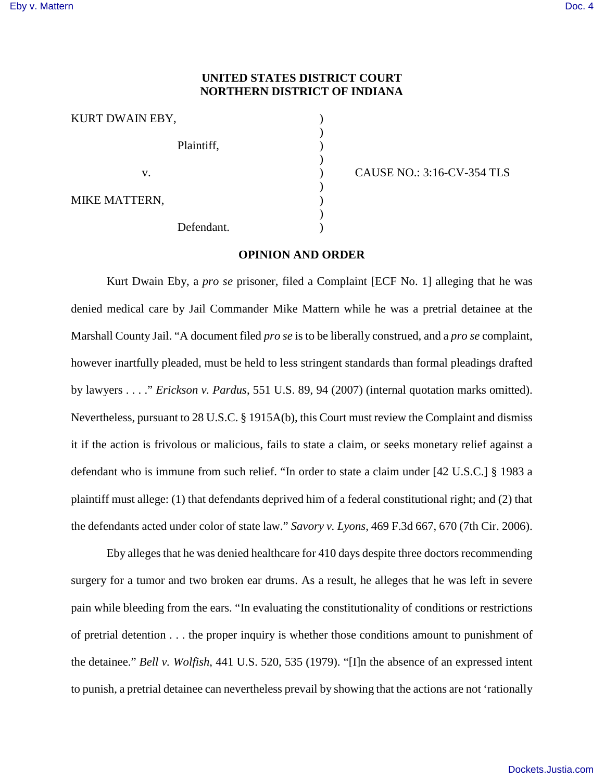## **UNITED STATES DISTRICT COURT NORTHERN DISTRICT OF INDIANA**

| KURT DWAIN EBY, |  |
|-----------------|--|
| Plaintiff,      |  |
| V.              |  |
| MIKE MATTERN,   |  |
| Defendant.      |  |

) CAUSE NO.: 3:16-CV-354 TLS

## **OPINION AND ORDER**

Kurt Dwain Eby, a *pro se* prisoner, filed a Complaint [ECF No. 1] alleging that he was denied medical care by Jail Commander Mike Mattern while he was a pretrial detainee at the Marshall County Jail. "A document filed *pro se* is to be liberally construed, and a *pro se* complaint, however inartfully pleaded, must be held to less stringent standards than formal pleadings drafted by lawyers . . . ." *Erickson v. Pardus*, 551 U.S. 89, 94 (2007) (internal quotation marks omitted). Nevertheless, pursuant to 28 U.S.C. § 1915A(b), this Court must review the Complaint and dismiss it if the action is frivolous or malicious, fails to state a claim, or seeks monetary relief against a defendant who is immune from such relief. "In order to state a claim under [42 U.S.C.] § 1983 a plaintiff must allege: (1) that defendants deprived him of a federal constitutional right; and (2) that the defendants acted under color of state law." *Savory v. Lyons*, 469 F.3d 667, 670 (7th Cir. 2006).

Eby alleges that he was denied healthcare for 410 days despite three doctors recommending surgery for a tumor and two broken ear drums. As a result, he alleges that he was left in severe pain while bleeding from the ears. "In evaluating the constitutionality of conditions or restrictions of pretrial detention . . . the proper inquiry is whether those conditions amount to punishment of the detainee." *Bell v. Wolfish*, 441 U.S. 520, 535 (1979). "[I]n the absence of an expressed intent to punish, a pretrial detainee can nevertheless prevail by showing that the actions are not 'rationally